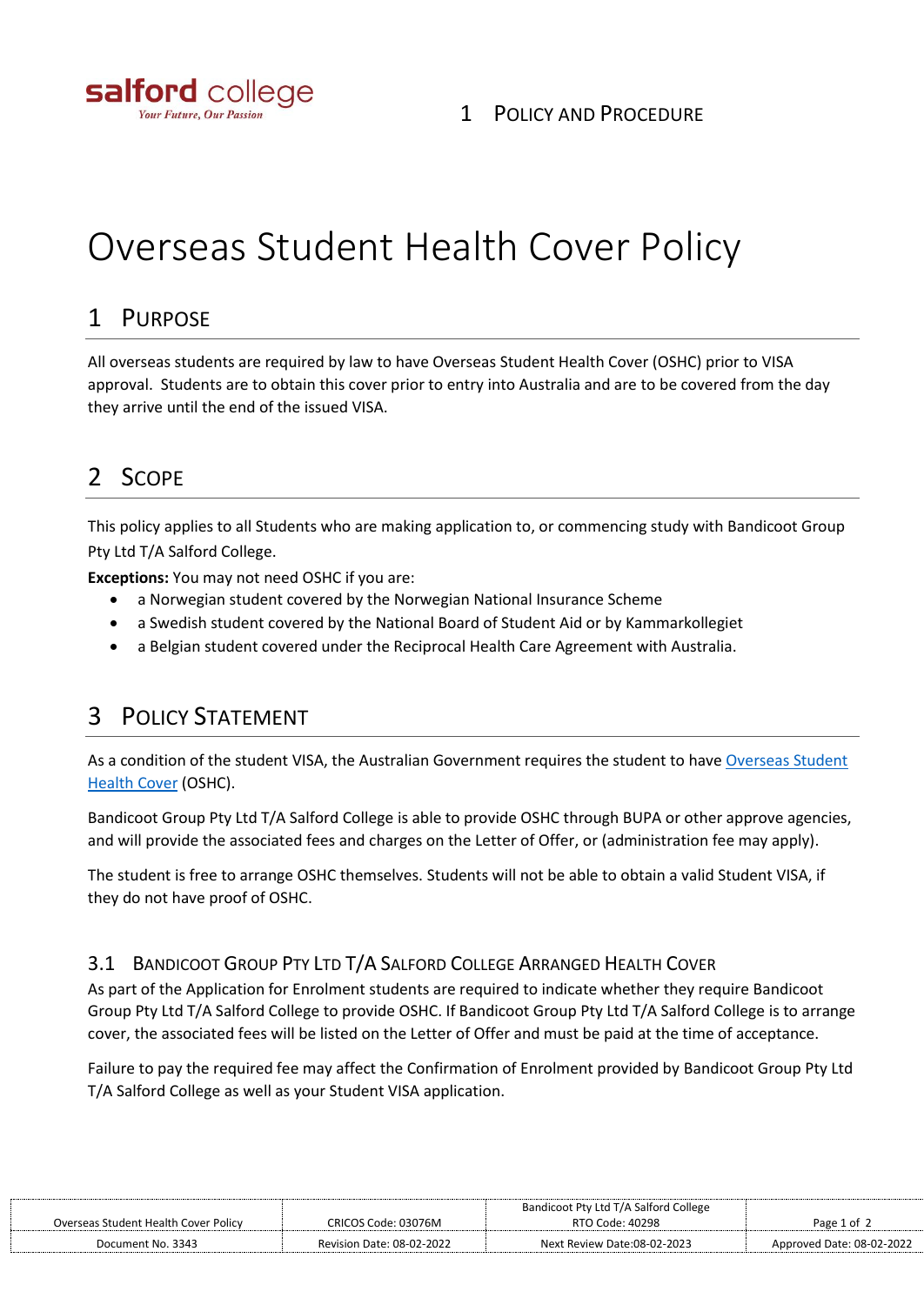

# Overseas Student Health Cover Policy

### 1 PURPOSE

All overseas students are required by law to have Overseas Student Health Cover (OSHC) prior to VISA approval. Students are to obtain this cover prior to entry into Australia and are to be covered from the day they arrive until the end of the issued VISA.

## 2 SCOPE

This policy applies to all Students who are making application to, or commencing study with Bandicoot Group Pty Ltd T/A Salford College.

**Exceptions:** You may not need OSHC if you are:

- a Norwegian student covered by the Norwegian National Insurance Scheme
- a Swedish student covered by the National Board of Student Aid or by Kammarkollegiet
- a Belgian student covered under the Reciprocal Health Care Agreement with Australia.

## 3 POLICY STATEMENT

As a condition of the student VISA, the Australian Government requires the student to have Overseas Student [Health Cover](https://privatehealth.gov.au/healthinsurance/overseas/oshc.htm) (OSHC).

Bandicoot Group Pty Ltd T/A Salford College is able to provide OSHC through BUPA or other approve agencies, and will provide the associated fees and charges on the Letter of Offer, or (administration fee may apply).

The student is free to arrange OSHC themselves. Students will not be able to obtain a valid Student VISA, if they do not have proof of OSHC.

#### 3.1 BANDICOOT GROUP PTY LTD T/A SALFORD COLLEGE ARRANGED HEALTH COVER

As part of the Application for Enrolment students are required to indicate whether they require Bandicoot Group Pty Ltd T/A Salford College to provide OSHC. If Bandicoot Group Pty Ltd T/A Salford College is to arrange cover, the associated fees will be listed on the Letter of Offer and must be paid at the time of acceptance.

Failure to pay the required fee may affect the Confirmation of Enrolment provided by Bandicoot Group Pty Ltd T/A Salford College as well as your Student VISA application.

|                                      |                           | Bandicoot Pty Ltd T/A Salford College |                           |
|--------------------------------------|---------------------------|---------------------------------------|---------------------------|
| Overseas Student Health Cover Policy | CRICOS Code: 03076M       | RTO Code: 40298                       | Page 1 of 2               |
| Document No. 3343                    | Revision Date: 08-02-2022 | Next Review Date:08-02-2023           | Approved Date: 08-02-2022 |